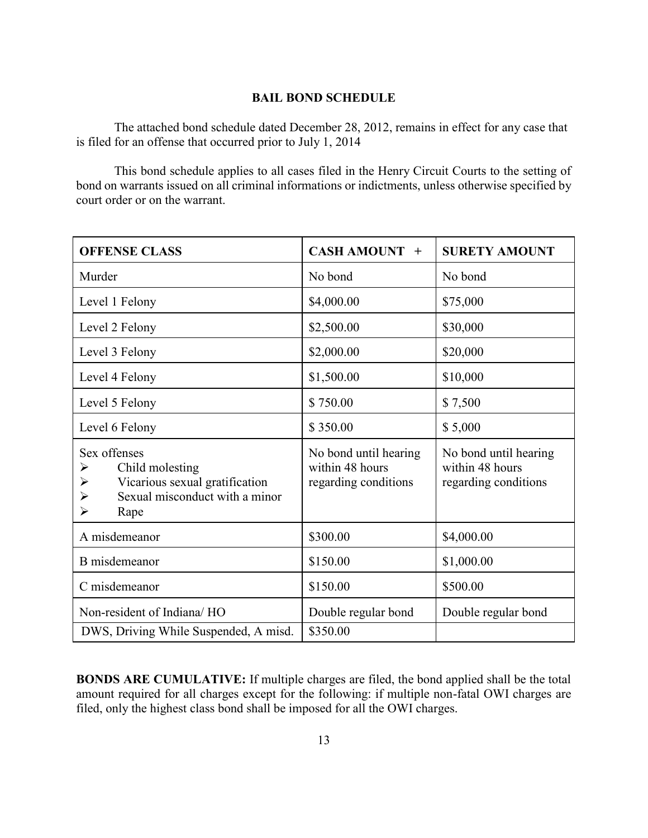## **BAIL BOND SCHEDULE**

The attached bond schedule dated December 28, 2012, remains in effect for any case that is filed for an offense that occurred prior to July 1, 2014

This bond schedule applies to all cases filed in the Henry Circuit Courts to the setting of bond on warrants issued on all criminal informations or indictments, unless otherwise specified by court order or on the warrant.

| <b>OFFENSE CLASS</b>                                                                                                                                                    | CASH AMOUNT +                                                    | <b>SURETY AMOUNT</b>                                             |
|-------------------------------------------------------------------------------------------------------------------------------------------------------------------------|------------------------------------------------------------------|------------------------------------------------------------------|
| Murder                                                                                                                                                                  | No bond                                                          | No bond                                                          |
| Level 1 Felony                                                                                                                                                          | \$4,000.00                                                       | \$75,000                                                         |
| Level 2 Felony                                                                                                                                                          | \$2,500.00                                                       | \$30,000                                                         |
| Level 3 Felony                                                                                                                                                          | \$2,000.00                                                       | \$20,000                                                         |
| Level 4 Felony                                                                                                                                                          | \$1,500.00                                                       | \$10,000                                                         |
| Level 5 Felony                                                                                                                                                          | \$750.00                                                         | \$7,500                                                          |
| Level 6 Felony                                                                                                                                                          | \$350.00                                                         | \$5,000                                                          |
| Sex offenses<br>Child molesting<br>➤<br>Vicarious sexual gratification<br>$\blacktriangleright$<br>Sexual misconduct with a minor<br>➤<br>$\blacktriangleright$<br>Rape | No bond until hearing<br>within 48 hours<br>regarding conditions | No bond until hearing<br>within 48 hours<br>regarding conditions |
| A misdemeanor                                                                                                                                                           | \$300.00                                                         | \$4,000.00                                                       |
| B misdemeanor                                                                                                                                                           | \$150.00                                                         | \$1,000.00                                                       |
| C misdemeanor                                                                                                                                                           | \$150.00                                                         | \$500.00                                                         |
| Non-resident of Indiana/HO                                                                                                                                              | Double regular bond                                              | Double regular bond                                              |
| DWS, Driving While Suspended, A misd.                                                                                                                                   | \$350.00                                                         |                                                                  |

**BONDS ARE CUMULATIVE:** If multiple charges are filed, the bond applied shall be the total amount required for all charges except for the following: if multiple non-fatal OWI charges are filed, only the highest class bond shall be imposed for all the OWI charges.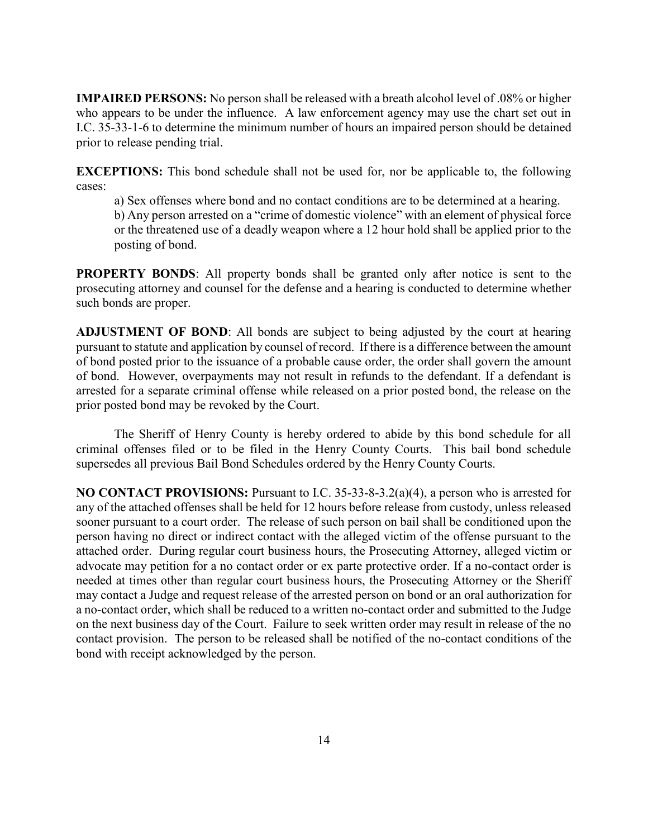**IMPAIRED PERSONS:** No person shall be released with a breath alcohol level of .08% or higher who appears to be under the influence. A law enforcement agency may use the chart set out in I.C. 35-33-1-6 to determine the minimum number of hours an impaired person should be detained prior to release pending trial.

**EXCEPTIONS:** This bond schedule shall not be used for, nor be applicable to, the following cases:

a) Sex offenses where bond and no contact conditions are to be determined at a hearing. b) Any person arrested on a "crime of domestic violence" with an element of physical force or the threatened use of a deadly weapon where a 12 hour hold shall be applied prior to the posting of bond.

**PROPERTY BONDS:** All property bonds shall be granted only after notice is sent to the prosecuting attorney and counsel for the defense and a hearing is conducted to determine whether such bonds are proper.

**ADJUSTMENT OF BOND**: All bonds are subject to being adjusted by the court at hearing pursuant to statute and application by counsel of record. If there is a difference between the amount of bond posted prior to the issuance of a probable cause order, the order shall govern the amount of bond. However, overpayments may not result in refunds to the defendant. If a defendant is arrested for a separate criminal offense while released on a prior posted bond, the release on the prior posted bond may be revoked by the Court.

The Sheriff of Henry County is hereby ordered to abide by this bond schedule for all criminal offenses filed or to be filed in the Henry County Courts. This bail bond schedule supersedes all previous Bail Bond Schedules ordered by the Henry County Courts.

**NO CONTACT PROVISIONS:** Pursuant to I.C. 35-33-8-3.2(a)(4), a person who is arrested for any of the attached offenses shall be held for 12 hours before release from custody, unless released sooner pursuant to a court order. The release of such person on bail shall be conditioned upon the person having no direct or indirect contact with the alleged victim of the offense pursuant to the attached order. During regular court business hours, the Prosecuting Attorney, alleged victim or advocate may petition for a no contact order or ex parte protective order. If a no-contact order is needed at times other than regular court business hours, the Prosecuting Attorney or the Sheriff may contact a Judge and request release of the arrested person on bond or an oral authorization for a no-contact order, which shall be reduced to a written no-contact order and submitted to the Judge on the next business day of the Court. Failure to seek written order may result in release of the no contact provision. The person to be released shall be notified of the no-contact conditions of the bond with receipt acknowledged by the person.